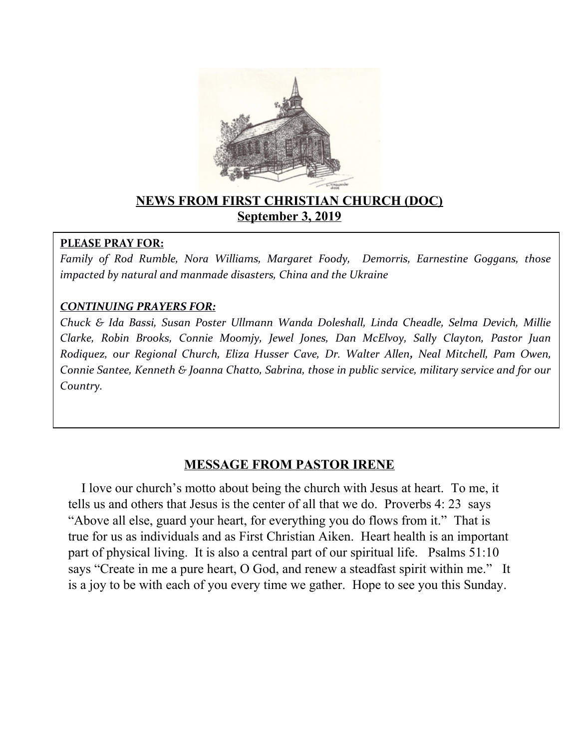

### **NEWS FROM FIRST CHRISTIAN CHURCH (DOC) September 3, 2019**

#### **PLEASE PRAY FOR:**

*Family of Rod Rumble, Nora Williams, Margaret Foody, Demorris, Earnestine Goggans, those impacted by natural and manmade disasters, China and the Ukraine* 

### *CONTINUING PRAYERS FOR:*

*Chuck & Ida Bassi, Susan Poster Ullmann Wanda Doleshall, Linda Cheadle, Selma Devich, Millie Clarke, Robin Brooks, Connie Moomjy, Jewel Jones, Dan McElvoy, Sally Clayton, Pastor Juan R0diquez, our Regional Church, Eliza Husser Cave, Dr. Walter Allen, Neal Mitchell, Pam Owen, Connie Santee, Kenneth & Joanna Chatto, Sabrina, those in public service, military service and for our Country.* 

### **MESSAGE FROM PASTOR IRENE**

 I love our church's motto about being the church with Jesus at heart. To me, it tells us and others that Jesus is the center of all that we do. Proverbs 4: 23 says "Above all else, guard your heart, for everything you do flows from it." That is true for us as individuals and as First Christian Aiken. Heart health is an important part of physical living. It is also a central part of our spiritual life. Psalms 51:10 says "Create in me a pure heart, O God, and renew a steadfast spirit within me." It is a joy to be with each of you every time we gather. Hope to see you this Sunday.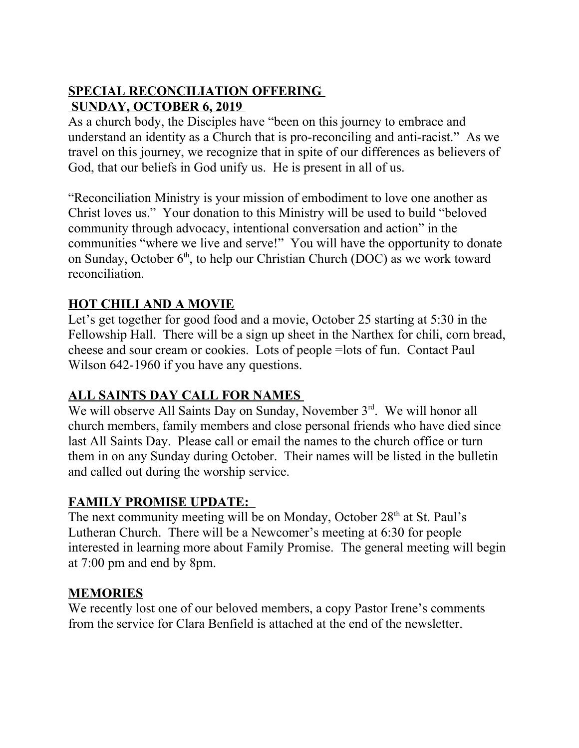# **SPECIAL RECONCILIATION OFFERING SUNDAY, OCTOBER 6, 2019**

As a church body, the Disciples have "been on this journey to embrace and understand an identity as a Church that is pro-reconciling and anti-racist." As we travel on this journey, we recognize that in spite of our differences as believers of God, that our beliefs in God unify us. He is present in all of us.

"Reconciliation Ministry is your mission of embodiment to love one another as Christ loves us." Your donation to this Ministry will be used to build "beloved community through advocacy, intentional conversation and action" in the communities "where we live and serve!" You will have the opportunity to donate on Sunday, October  $6<sup>th</sup>$ , to help our Christian Church (DOC) as we work toward reconciliation.

## **HOT CHILI AND A MOVIE**

Let's get together for good food and a movie, October 25 starting at 5:30 in the Fellowship Hall. There will be a sign up sheet in the Narthex for chili, corn bread, cheese and sour cream or cookies. Lots of people =lots of fun. Contact Paul Wilson 642-1960 if you have any questions.

### **ALL SAINTS DAY CALL FOR NAMES**

We will observe All Saints Day on Sunday, November 3<sup>rd</sup>. We will honor all church members, family members and close personal friends who have died since last All Saints Day. Please call or email the names to the church office or turn them in on any Sunday during October. Their names will be listed in the bulletin and called out during the worship service.

### **FAMILY PROMISE UPDATE:**

The next community meeting will be on Monday, October 28<sup>th</sup> at St. Paul's Lutheran Church. There will be a Newcomer's meeting at 6:30 for people interested in learning more about Family Promise. The general meeting will begin at 7:00 pm and end by 8pm.

### **MEMORIES**

We recently lost one of our beloved members, a copy Pastor Irene's comments from the service for Clara Benfield is attached at the end of the newsletter.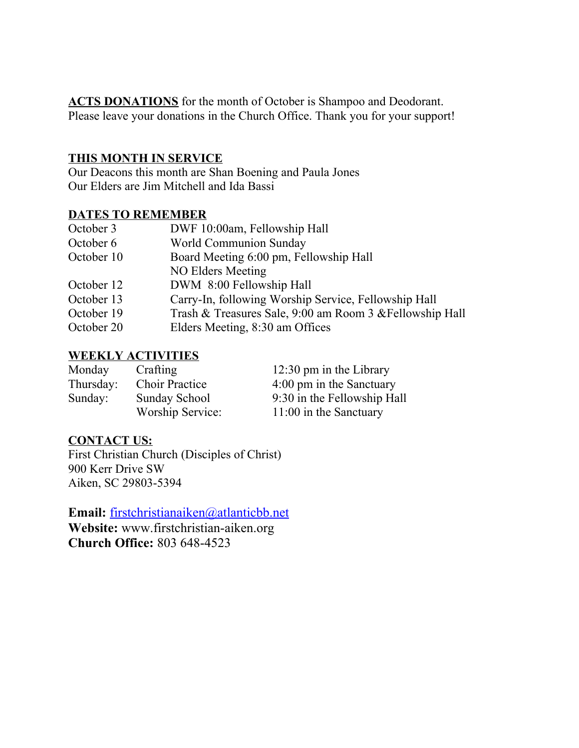**ACTS DONATIONS** for the month of October is Shampoo and Deodorant. Please leave your donations in the Church Office. Thank you for your support!

#### **THIS MONTH IN SERVICE**

Our Deacons this month are Shan Boening and Paula Jones Our Elders are Jim Mitchell and Ida Bassi

#### **DATES TO REMEMBER**

| October 3                                            | DWF 10:00am, Fellowship Hall                             |  |
|------------------------------------------------------|----------------------------------------------------------|--|
| World Communion Sunday<br>October 6                  |                                                          |  |
| Board Meeting 6:00 pm, Fellowship Hall<br>October 10 |                                                          |  |
| NO Elders Meeting                                    |                                                          |  |
| DWM 8:00 Fellowship Hall<br>October 12               |                                                          |  |
| October 13                                           | Carry-In, following Worship Service, Fellowship Hall     |  |
| October 19                                           | Trash & Treasures Sale, 9:00 am Room 3 & Fellowship Hall |  |
| Elders Meeting, 8:30 am Offices<br>October 20        |                                                          |  |

### **WEEKLY ACTIVITIES**

| Monday    | Crafting              | $12:30 \text{ pm}$ in the Library |
|-----------|-----------------------|-----------------------------------|
| Thursday: | <b>Choir Practice</b> | 4:00 pm in the Sanctuary          |
| Sunday:   | Sunday School         | 9:30 in the Fellowship Hall       |
|           | Worship Service:      | $11:00$ in the Sanctuary          |

#### **CONTACT US:**

First Christian Church (Disciples of Christ) 900 Kerr Drive SW Aiken, SC 29803-5394

**Email:** [firstchristianaiken@atlanticbb.net](mailto:firstchristianaiken@atlanticbb.net)

**Website:** www.firstchristian-aiken.org **Church Office:** 803 648-4523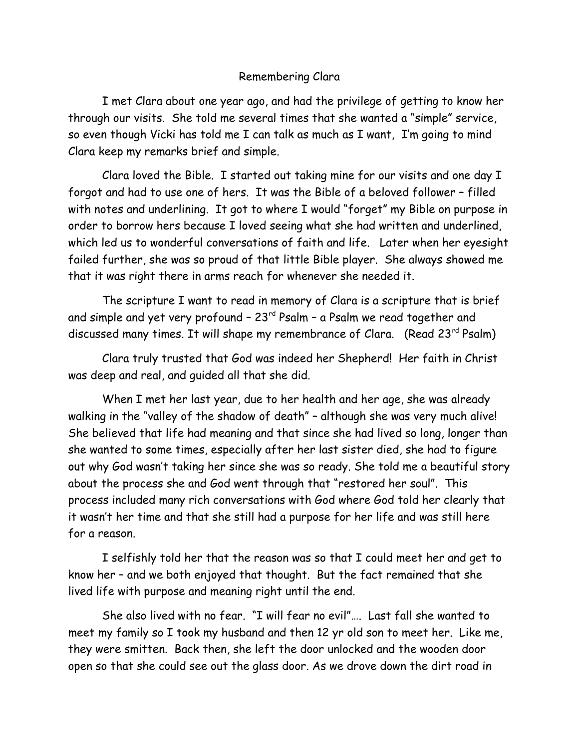#### Remembering Clara

I met Clara about one year ago, and had the privilege of getting to know her through our visits. She told me several times that she wanted a "simple" service, so even though Vicki has told me I can talk as much as I want, I'm going to mind Clara keep my remarks brief and simple.

Clara loved the Bible. I started out taking mine for our visits and one day I forgot and had to use one of hers. It was the Bible of a beloved follower – filled with notes and underlining. It got to where I would "forget" my Bible on purpose in order to borrow hers because I loved seeing what she had written and underlined, which led us to wonderful conversations of faith and life. Later when her eyesight failed further, she was so proud of that little Bible player. She always showed me that it was right there in arms reach for whenever she needed it.

The scripture I want to read in memory of Clara is a scripture that is brief and simple and yet very profound  $-23$ <sup>rd</sup> Psalm  $-$  a Psalm we read together and discussed many times. It will shape my remembrance of Clara. (Read 23<sup>rd</sup> Psalm)

Clara truly trusted that God was indeed her Shepherd! Her faith in Christ was deep and real, and guided all that she did.

When I met her last year, due to her health and her age, she was already walking in the "valley of the shadow of death" – although she was very much alive! She believed that life had meaning and that since she had lived so long, longer than she wanted to some times, especially after her last sister died, she had to figure out why God wasn't taking her since she was so ready. She told me a beautiful story about the process she and God went through that "restored her soul". This process included many rich conversations with God where God told her clearly that it wasn't her time and that she still had a purpose for her life and was still here for a reason.

I selfishly told her that the reason was so that I could meet her and get to know her – and we both enjoyed that thought. But the fact remained that she lived life with purpose and meaning right until the end.

She also lived with no fear. "I will fear no evil"…. Last fall she wanted to meet my family so I took my husband and then 12 yr old son to meet her. Like me, they were smitten. Back then, she left the door unlocked and the wooden door open so that she could see out the glass door. As we drove down the dirt road in